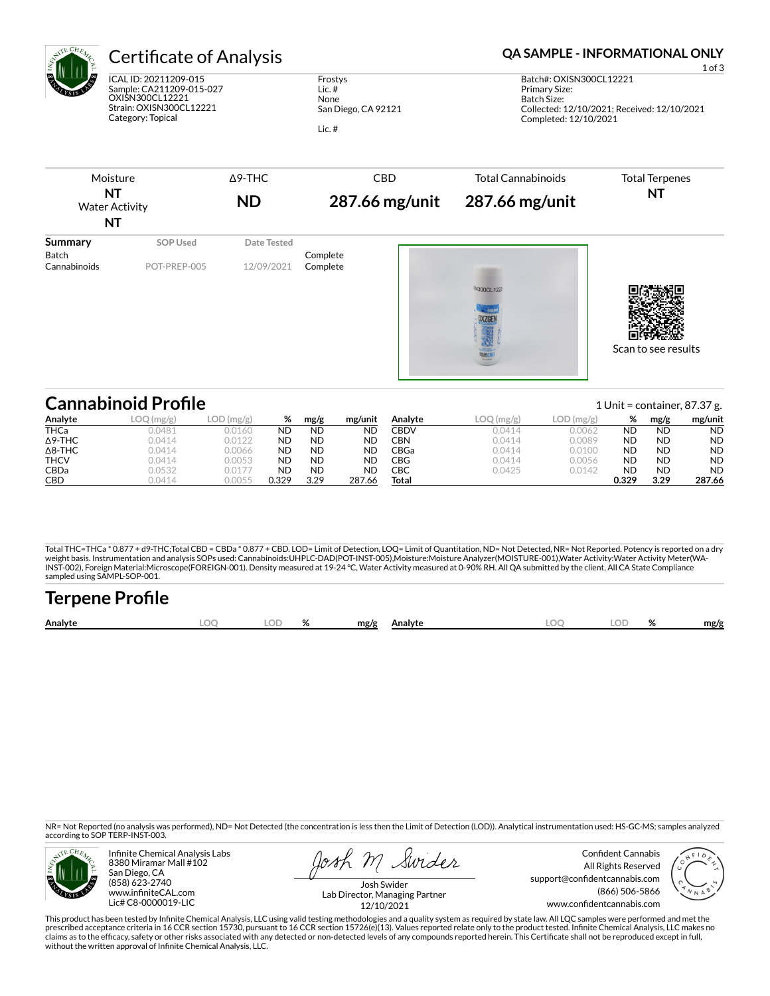

# Certificate of Analysis **Certificate of Analysis QA SAMPLE - INFORMATIONAL ONLY**

ICAL ID: 20211209-015 Sample: CA211209-015-027 OXISN300CL12221 Strain: OXISN300CL12221 Category: Topical

Frostys Lic. # None San Diego, CA 92121 Lic. #

Batch#: OXISN300CL12221 Primary Size: Batch Size: Collected: 12/10/2021; Received: 12/10/2021 Completed: 12/10/2021

| NT<br><b>Water Activity</b><br>NT       |                          | $\Delta$ 9-THC<br><b>ND</b> | <b>Total Cannabinoids</b><br><b>CBD</b><br>287.66 mg/unit<br>287.66 mg/unit |                    | <b>Total Terpenes</b><br>NT |
|-----------------------------------------|--------------------------|-----------------------------|-----------------------------------------------------------------------------|--------------------|-----------------------------|
| <b>Summary</b><br>Batch<br>Cannabinoids | SOP Used<br>POT-PREP-005 | Date Tested<br>12/09/2021   | Complete<br>Complete                                                        |                    |                             |
|                                         |                          |                             |                                                                             | <b>SN300CL1222</b> |                             |

Scan to see results

| <b>Cannabinoid Profile</b> |               |           |           |           |         |         |        |              |           |           | 1 Unit = container, $87.37$ g. |
|----------------------------|---------------|-----------|-----------|-----------|---------|---------|--------|--------------|-----------|-----------|--------------------------------|
| Analyte                    | .OC<br>(mg/g) | LOD(mg/g) | %         | mg/g      | mg/unit | Analvte | (mg/g) | $LOD$ (mg/g) | %         | mg/g      | mg/unit                        |
| <b>THCa</b>                | 0.0481        | 0.0160    | <b>ND</b> | <b>ND</b> | ND      | CBDV    | 0.0414 | 0.0062       | <b>ND</b> | <b>ND</b> | <b>ND</b>                      |
| $\Delta$ 9-THC             | 0.0414        | 0.0122    | <b>ND</b> | <b>ND</b> | ND      | CBN     | 0.0414 | 0.0089       | <b>ND</b> | <b>ND</b> | <b>ND</b>                      |
| $\Delta$ 8-THC             | 0.0414        | 0.0066    | <b>ND</b> | <b>ND</b> | ND      | CBGa    | 0.0414 | 0.0100       | <b>ND</b> | <b>ND</b> | <b>ND</b>                      |
| <b>THCV</b>                | 0.0414        | 0.0053    | <b>ND</b> | <b>ND</b> | ND      | CBG     | 0.0414 | 0.0056       | <b>ND</b> | <b>ND</b> | <b>ND</b>                      |
| <b>CBDa</b>                | 0.0532        | 0.0177    | <b>ND</b> | <b>ND</b> | ND      | CBC     | 0.0425 | 0.0142       | <b>ND</b> | <b>ND</b> | <b>ND</b>                      |
| CBD                        | 0.0414        | 0.0055    | 0.329     | 3.29      | 287.66  | Total   |        |              | 0.329     | 3.29      | 287.66                         |

Total THC=THCa \* 0.877 + d9-THC;Total CBD = CBDa \* 0.877 + CBD. LOD= Limit of Detection, LOQ= Limit of Quantitation, ND= Not Detected, NR= Not Reported. Potency is reported on a dry<br>weight basis. Instrumentation and analys INST-002), Foreign Material:Microscope(FOREIGN-001). Density measured at 19-24 °C, Water Activity measured at 0-90% RH. All QA submitted by the client, All CA State Compliance sampled using SAMPL-SOP-001.

| <b>Terpene Profile</b> |     |    |   |      |         |     |      |
|------------------------|-----|----|---|------|---------|-----|------|
| Analyte                | .OC | OD | % | mg/g | Analyte | .OD | mg/g |

NR= Not Reported (no analysis was performed), ND= Not Detected (the concentration is less then the Limit of Detection (LOD)). Analytical instrumentation used: HS-GC-MS; samples analyzed according to SOP TERP-INST-003.



Infinite Chemical Analysis Labs 8380 Miramar Mall #102 San Diego, CA (858) 623-2740 www.infiniteCAL.com Lic# C8-0000019-LIC

losh M Swider

Confident Cannabis All Rights Reserved support@confidentcannabis.com (866) 506-5866 www.confidentcannabis.com



Josh Swider Lab Director, Managing Partner 12/10/2021

This product has been tested by Infinite Chemical Analysis, LLC using valid testing methodologies and a quality system as required by state law. All LQC samples were performed and met the prescribed acceptance criteria in 16 CCR section 15730, pursuant to 16 CCR section 15726(e)(13). Values reported relate only to the product tested. Infinite Chemical Analysis, LLC makes no<br>claims as to the efficacy, safety without the written approval of Infinite Chemical Analysis, LLC.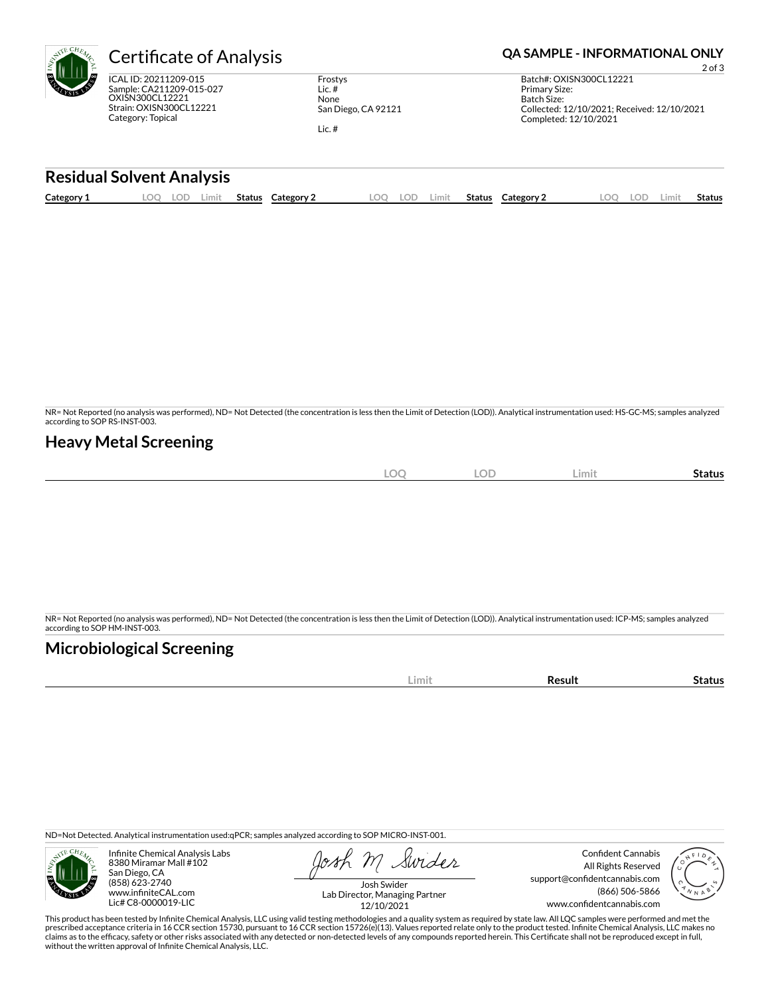| ξ | <b>Certificate of Analysis</b>                                                                                       |                                                    |  |  |  |  |  |
|---|----------------------------------------------------------------------------------------------------------------------|----------------------------------------------------|--|--|--|--|--|
|   | ICAL ID: 20211209-015<br>Sample: CA211209-015-027<br>OXISN300CL12221<br>Strain: OXISN300CL12221<br>Category: Topical | Frostys<br>Lic. $#$<br>None<br>San Diego, CA 92121 |  |  |  |  |  |

Lic. #

#### **QA SAMPLE - INFORMATIONAL ONLY**

2 of 3 Batch#: OXISN300CL12221 Primary Size: Batch Size: Collected: 12/10/2021; Received: 12/10/2021 Completed: 12/10/2021

### **Residual Solvent Analysis**

| Category 1<br>LOO<br>LOD.<br>.OO<br>LOD<br>ററ<br>LOD.<br>Limit<br>Status<br>Status<br>Status<br>Category 2<br>Category:<br>∠imit<br>.imi\ |
|-------------------------------------------------------------------------------------------------------------------------------------------|
|-------------------------------------------------------------------------------------------------------------------------------------------|

NR= Not Reported (no analysis was performed), ND= Not Detected (the concentration is less then the Limit of Detection (LOD)). Analytical instrumentation used: HS-GC-MS; samples analyzed according to SOP RS-INST-003.

### **Heavy Metal Screening**

| $\cap$<br>∽ | $\sim$ | <b>LOD</b> | --<br><b>Status</b><br>∠imit |
|-------------|--------|------------|------------------------------|

NR= Not Reported (no analysis was performed), ND= Not Detected (the concentration is less then the Limit of Detection (LOD)). Analytical instrumentation used: ICP-MS; samples analyzed according to SOP HM-INST-003.

## **Microbiological Screening**

| LIMI | ю |
|------|---|
|      |   |

ND=Not Detected. Analytical instrumentation used:qPCR; samples analyzed according to SOP MICRO-INST-001.



Infinite Chemical Analysis Labs 8380 Miramar Mall #102 San Diego, CA (858) 623-2740 www.infiniteCAL.com Lic# C8-0000019-LIC

Swider

Confident Cannabis All Rights Reserved support@confidentcannabis.com (866) 506-5866 www.confidentcannabis.com



Josh Swider Lab Director, Managing Partner 12/10/2021

This product has been tested by Infinite Chemical Analysis, LLC using valid testing methodologies and a quality system as required by state law. All LQC samples were performed and met the prescribed acceptance criteria in 16 CCR section 15730, pursuant to 16 CCR section 15726(e)(13). Values reported relate only to the product tested. Infinite Chemical Analysis, LLC makes no<br>claims as to the efficacy, safety without the written approval of Infinite Chemical Analysis, LLC.